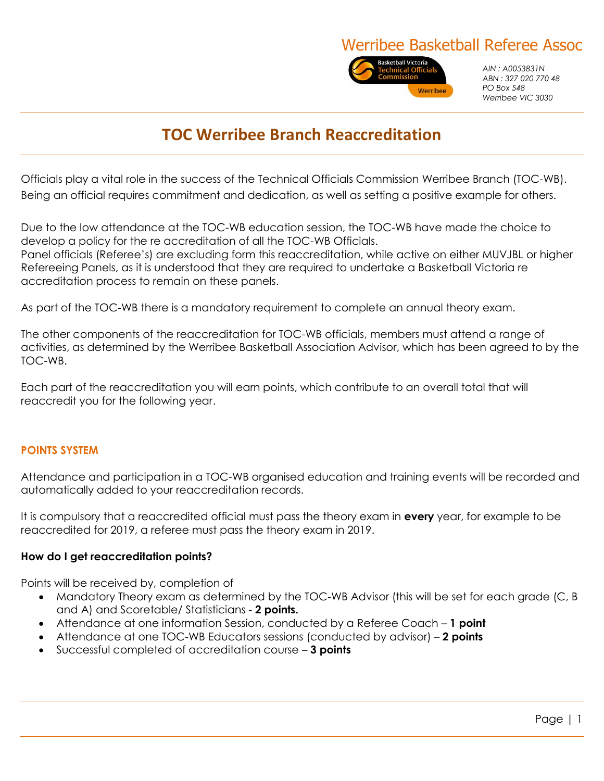# Werribee Basketball Referee Assoc



*AIN : A0053831N ABN : 327 020 770 48 PO Box 548 Werribee VIC 3030*

# **TOC Werribee Branch Reaccreditation**

Officials play a vital role in the success of the Technical Officials Commission Werribee Branch (TOC-WB). Being an official requires commitment and dedication, as well as setting a positive example for others.

Due to the low attendance at the TOC-WB education session, the TOC-WB have made the choice to develop a policy for the re accreditation of all the TOC-WB Officials. Panel officials (Referee's) are excluding form this reaccreditation, while active on either MUVJBL or higher Refereeing Panels, as it is understood that they are required to undertake a Basketball Victoria re accreditation process to remain on these panels.

As part of the TOC-WB there is a mandatory requirement to complete an annual theory exam.

The other components of the reaccreditation for TOC-WB officials, members must attend a range of activities, as determined by the Werribee Basketball Association Advisor, which has been agreed to by the TOC-WB.

Each part of the reaccreditation you will earn points, which contribute to an overall total that will reaccredit you for the following year.

## **POINTS SYSTEM**

Attendance and participation in a TOC-WB organised education and training events will be recorded and automatically added to your reaccreditation records.

It is compulsory that a reaccredited official must pass the theory exam in **every** year, for example to be reaccredited for 2019, a referee must pass the theory exam in 2019.

#### **How do I get reaccreditation points?**

Points will be received by, completion of

- Mandatory Theory exam as determined by the TOC-WB Advisor (this will be set for each grade (C, B and A) and Scoretable/ Statisticians - **2 points.**
- Attendance at one information Session, conducted by a Referee Coach **1 point**
- Attendance at one TOC-WB Educators sessions (conducted by advisor) **2 points**
- Successful completed of accreditation course **3 points**